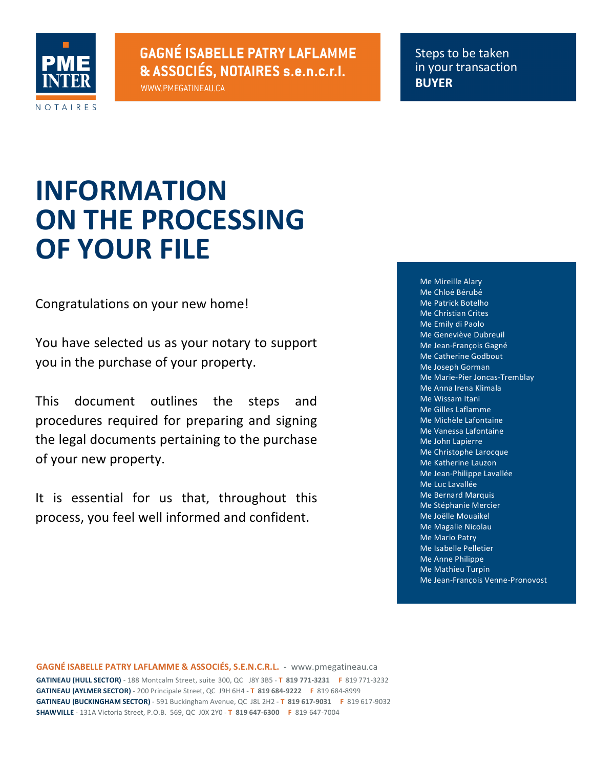

WWW.PMEGATINEAU.CA

Steps to be taken in your transaction **BUYER**

# **INFORMATION ON THE PROCESSING OF YOUR FILE**

Congratulations on your new home!

You have selected us as your notary to support you in the purchase of your property.

This document outlines the steps and procedures required for preparing and signing the legal documents pertaining to the purchase of your new property.

It is essential for us that, throughout this process, you feel well informed and confident.

Me Mireille Alary Me Chloé Bérubé Me Patrick Botelho Me Christian Crites Me Emily di Paolo Me Geneviève Dubreuil Me Jean-François Gagné Me Catherine Godbout Me Joseph Gorman Me Marie-Pier Joncas-Tremblay Me Anna Irena Klimala Me Wissam Itani Me Gilles Laflamme Me Michèle Lafontaine Me Vanessa Lafontaine Me John Lapierre Me Christophe Larocque Me Katherine Lauzon Me Jean-Philippe Lavallée Me Luc Lavallée Me Bernard Marquis Me Stéphanie Mercier Me Joëlle Mouaikel Me Magalie Nicolau **Me Mario Patry** Me Isabelle Pelletier Me Anne Philippe Me Mathieu Turpin Me Jean-François Venne-Pronovost

**GAGNÉ ISABELLE PATRY LAFLAMME & ASSOCIÉS, S.E.N.C.R.L.** - www.pmegatineau.ca **GATINEAU (HULL SECTOR)** - 188 Montcalm Street, suite 300, QC J8Y 3B5 - T 819 771-3231 **F** 819 771-3232 **GATINEAU (AYLMER SECTOR)** - 200 Principale Street, QC J9H 6H4 - **T 819 684-9222 F 819 684-8999 GATINEAU (BUCKINGHAM SECTOR)** - 591 Buckingham Avenue, QC J8L 2H2 - T 819 617-9031 F 819 617-9032 **SHAWVILLE** - 131A Victoria Street, P.O.B. 569, QC J0X 2Y0 - **T 819 647-6300 F** 819 647-7004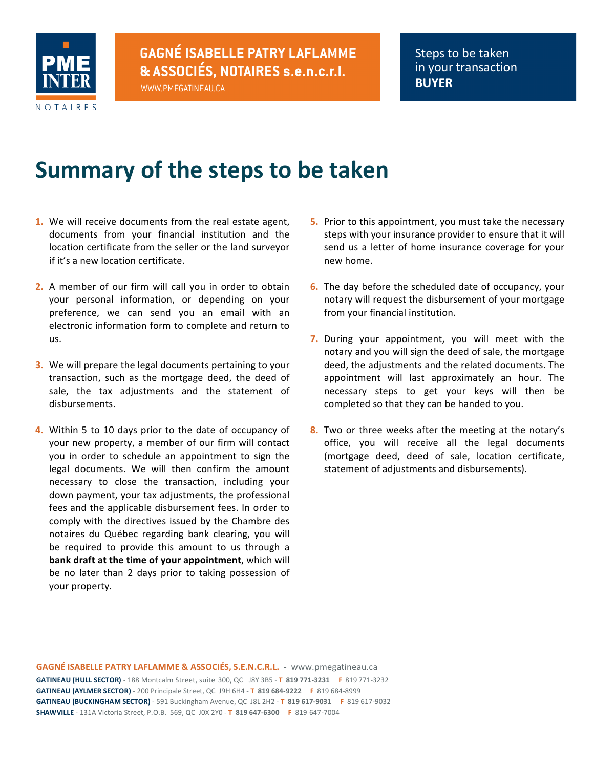

WWW.PMEGATINEAU.CA

# **Summary of the steps to be taken**

- **1.** We will receive documents from the real estate agent, documents from your financial institution and the location certificate from the seller or the land surveyor if it's a new location certificate.
- **2.** A member of our firm will call you in order to obtain your personal information, or depending on your preference, we can send you an email with an electronic information form to complete and return to us.
- **3.** We will prepare the legal documents pertaining to your transaction, such as the mortgage deed, the deed of sale, the tax adjustments and the statement of disbursements.
- **4.** Within 5 to 10 days prior to the date of occupancy of your new property, a member of our firm will contact you in order to schedule an appointment to sign the legal documents. We will then confirm the amount necessary to close the transaction, including your down payment, your tax adjustments, the professional fees and the applicable disbursement fees. In order to comply with the directives issued by the Chambre des notaires du Québec regarding bank clearing, you will be required to provide this amount to us through a **bank draft at the time of your appointment**, which will be no later than 2 days prior to taking possession of your property.
- **5.** Prior to this appointment, you must take the necessary steps with your insurance provider to ensure that it will send us a letter of home insurance coverage for your new home.
- **6.** The day before the scheduled date of occupancy, your notary will request the disbursement of your mortgage from your financial institution.
- **7.** During your appointment, you will meet with the notary and you will sign the deed of sale, the mortgage deed, the adjustments and the related documents. The appointment will last approximately an hour. The necessary steps to get your keys will then be completed so that they can be handed to you.
- **8.** Two or three weeks after the meeting at the notary's office, you will receive all the legal documents (mortgage deed, deed of sale, location certificate, statement of adjustments and disbursements).

**GAGNÉ ISABELLE PATRY LAFLAMME & ASSOCIÉS, S.E.N.C.R.L.** - www.pmegatineau.ca **GATINEAU (HULL SECTOR)** - 188 Montcalm Street, suite 300, QC J8Y 3B5 - T 819 771-3231 **F** 819 771-3232 **GATINEAU (AYLMER SECTOR)** - 200 Principale Street, QC J9H 6H4 - **T 819 684-9222 F 819 684-8999 GATINEAU (BUCKINGHAM SECTOR)** - 591 Buckingham Avenue, QC J8L 2H2 - **T 819 617-9031 F 819 617-9032 SHAWVILLE** - 131A Victoria Street, P.O.B. 569, QC J0X 2Y0 - **T 819 647-6300 F** 819 647-7004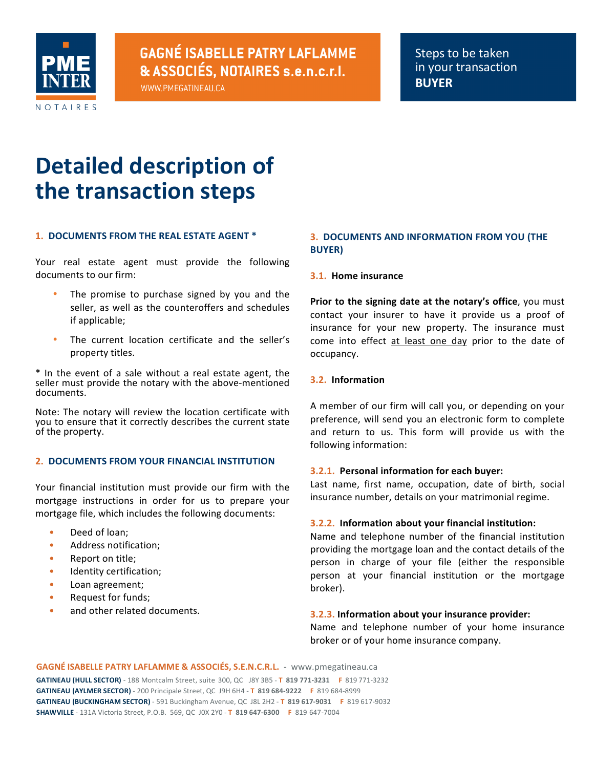

WWW.PMEGATINEAU.CA

# **Detailed description of the transaction steps**

#### **1. DOCUMENTS FROM THE REAL ESTATE AGENT \***

Your real estate agent must provide the following documents to our firm:

- The promise to purchase signed by you and the seller, as well as the counteroffers and schedules if applicable;
- The current location certificate and the seller's property titles.

\* In the event of a sale without a real estate agent, the seller must provide the notary with the above-mentioned documents.

Note: The notary will review the location certificate with you to ensure that it correctly describes the current state of the property.

#### **2. DOCUMENTS FROM YOUR FINANCIAL INSTITUTION**

Your financial institution must provide our firm with the mortgage instructions in order for us to prepare your mortgage file, which includes the following documents:

- Deed of loan;
- Address notification;
- Report on title;
- Identity certification;
- Loan agreement;
- Request for funds;
- and other related documents.

### **3. DOCUMENTS AND INFORMATION FROM YOU (THE BUYER)**

#### **3.1. Home insurance**

**Prior to the signing date at the notary's office, you must** contact your insurer to have it provide us a proof of insurance for your new property. The insurance must come into effect at least one day prior to the date of occupancy.

#### **3.2. Information**

A member of our firm will call you, or depending on your preference, will send you an electronic form to complete and return to us. This form will provide us with the following information:

#### **3.2.1. Personal information for each buyer:**

Last name, first name, occupation, date of birth, social insurance number, details on your matrimonial regime.

#### **3.2.2. Information about your financial institution:**

Name and telephone number of the financial institution providing the mortgage loan and the contact details of the person in charge of your file (either the responsible person at your financial institution or the mortgage broker).

#### **3.2.3.** Information about your insurance provider:

Name and telephone number of your home insurance broker or of your home insurance company.

**GAGNÉ ISABELLE PATRY LAFLAMME & ASSOCIÉS, S.E.N.C.R.L.** - www.pmegatineau.ca

**GATINEAU (HULL SECTOR)** - 188 Montcalm Street, suite 300, QC J8Y 3B5 - T 819 771-3231 **F** 819 771-3232 **GATINEAU (AYLMER SECTOR)** - 200 Principale Street, QC J9H 6H4 - **T 819 684-9222 F 819 684-8999 GATINEAU (BUCKINGHAM SECTOR)** - 591 Buckingham Avenue, QC J8L 2H2 - **T 819 617-9031 F 819 617-9032 SHAWVILLE** - 131A Victoria Street, P.O.B. 569, QC J0X 2Y0 - **T 819 647-6300 F** 819 647-7004